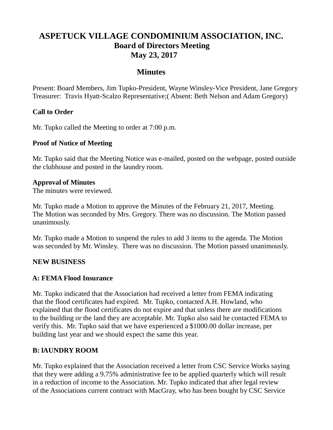# **ASPETUCK VILLAGE CONDOMINIUM ASSOCIATION, INC. Board of Directors Meeting May 23, 2017**

### **Minutes**

Present: Board Members, Jim Tupko-President, Wayne Winsley-Vice President, Jane Gregory Treasurer: Travis Hyatt-Scalzo Representative;( Absent: Beth Nelson and Adam Gregory)

### **Call to Order**

Mr. Tupko called the Meeting to order at 7:00 p.m.

#### **Proof of Notice of Meeting**

Mr. Tupko said that the Meeting Notice was e-mailed, posted on the webpage, posted outside the clubhouse and posted in the laundry room.

#### **Approval of Minutes**

The minutes were reviewed.

Mr. Tupko made a Motion to approve the Minutes of the February 21, 2017, Meeting. The Motion was seconded by Mrs. Gregory. There was no discussion. The Motion passed unanimously.

Mr. Tupko made a Motion to suspend the rules to add 3 items to the agenda. The Motion was seconded by Mr. Winsley. There was no discussion. The Motion passed unanimously.

#### **NEW BUSINESS**

### **A: FEMA Flood Insurance**

Mr. Tupko indicated that the Association had received a letter from FEMA indicating that the flood certificates had expired. Mr. Tupko, contacted A.H. Howland, who explained that the flood certificates do not expire and that unless there are modifications to the building or the land they are acceptable. Mr. Tupko also said he contacted FEMA to verify this. Mr. Tupko said that we have experienced a \$1000.00 dollar increase, per building last year and we should expect the same this year.

### **B: lAUNDRY ROOM**

Mr. Tupko explained that the Association received a letter from CSC Service Works saying that they were adding a 9.75% administrative fee to be applied quarterly which will result in a reduction of income to the Association. Mr. Tupko indicated that after legal review of the Associations current contract with MacGray, who has been bought by CSC Service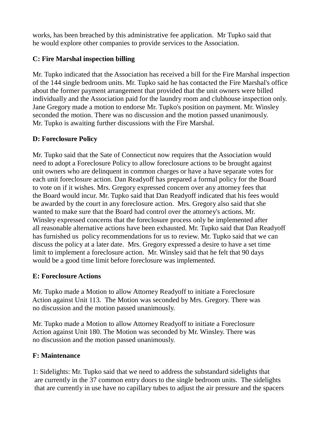works, has been breached by this administrative fee application. Mr Tupko said that he would explore other companies to provide services to the Association.

### **C: Fire Marshal inspection billing**

Mr. Tupko indicated that the Association has received a bill for the Fire Marshal inspection of the 144 single bedroom units. Mr. Tupko said he has contacted the Fire Marshal's office about the former payment arrangement that provided that the unit owners were billed individually and the Association paid for the laundry room and clubhouse inspection only. Jane Gregory made a motion to endorse Mr. Tupko's position on payment. Mr. Winsley seconded the motion. There was no discussion and the motion passed unanimously. Mr. Tupko is awaiting further discussions with the Fire Marshal.

# **D: Foreclosure Policy**

Mr. Tupko said that the Sate of Connecticut now requires that the Association would need to adopt a Foreclosure Policy to allow foreclosure actions to be brought against unit owners who are delinquent in common charges or have a have separate votes for each unit foreclosure action. Dan Readyoff has prepared a formal policy for the Board to vote on if it wishes. Mrs. Gregory expressed concern over any attorney fees that the Board would incur. Mr. Tupko said that Dan Readyoff indicated that his fees would be awarded by the court in any foreclosure action. Mrs. Gregory also said that she wanted to make sure that the Board had control over the attorney's actions. Mr. Winsley expressed concerns that the foreclosure process only be implemented after all reasonable alternative actions have been exhausted. Mr. Tupko said that Dan Readyoff has furnished us policy recommendations for us to review. Mr. Tupko said that we can discuss the policy at a later date. Mrs. Gregory expressed a desire to have a set time limit to implement a foreclosure action. Mr. Winsley said that he felt that 90 days would be a good time limit before foreclosure was implemented.

# **E: Foreclosure Actions**

Mr. Tupko made a Motion to allow Attorney Readyoff to initiate a Foreclosure Action against Unit 113. The Motion was seconded by Mrs. Gregory. There was no discussion and the motion passed unanimously.

Mr. Tupko made a Motion to allow Attorney Readyoff to initiate a Foreclosure Action against Unit 180. The Motion was seconded by Mr. Winsley. There was no discussion and the motion passed unanimously.

# **F: Maintenance**

1: Sidelights: Mr. Tupko said that we need to address the substandard sidelights that are currently in the 37 common entry doors to the single bedroom units. The sidelights that are currently in use have no capillary tubes to adjust the air pressure and the spacers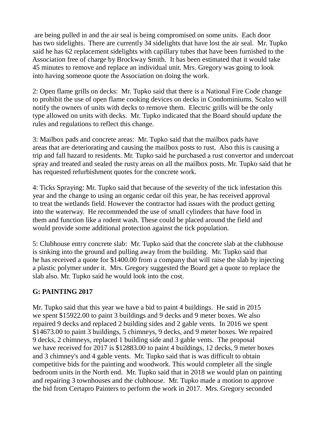are being pulled in and the air seal is being compromised on some units. Each door has two sidelights. There are currently 34 sidelights that have lost the air seal. Mr. Tupko said he has 62 replacement sidelights with capillary tubes that have been furnished to the Association free of charge by Brockway Smith. It has been estimated that it would take 45 minutes to remove and replace an individual unit. Mrs. Gregory was going to look into having someone quote the Association on doing the work.

2: Open flame grills on decks: Mr. Tupko said that there is a National Fire Code change to prohibit the use of open flame cooking devices on decks in Condominiums. Scalzo will notify the owners of units with decks to remove them. Electric grills will be the only type allowed on units with decks. Mr. Tupko indicated that the Board should update the rules and regulations to reflect this change.

3: Mailbox pads and concrete areas: Mr. Tupko said that the mailbox pads have areas that are deteriorating and causing the mailbox posts to rust. Also this is causing a trip and fall hazard to residents. Mr. Tupko said he purchased a rust convertor and undercoat spray and treated and sealed the rusty areas on all the mailbox posts. Mr. Tupko said that he has requested refurbishment quotes for the concrete work.

4: Ticks Spraying: Mr. Tupko said that because of the severity of the tick infestation this year and the change to using an organic cedar oil this year, he has received approval to treat the wetlands field. However the contractor had issues with the product getting into the waterway. He recommended the use of small cylinders that have food in them and function like a rodent wash. These could be placed around the field and would provide some additional protection against the tick population.

5: Clubhouse entry concrete slab: Mr. Tupko said that the concrete slab at the clubhouse is sinking into the ground and pulling away from the building. Mr. Tupko said that he has received a quote for \$1400.00 from a company that will raise the slab by injecting a plastic polymer under it. Mrs. Gregory suggested the Board get a quote to replace the slab also. Mr. Tupko said he would look into the cost.

# **G: PAINTING 2017**

Mr. Tupko said that this year we have a bid to paint 4 buildings. He said in 2015 we spent \$15922.00 to paint 3 buildings and 9 decks and 9 meter boxes. We also repaired 9 decks and replaced 2 building sides and 2 gable vents. In 2016 we spent \$14673.00 to paint 3 buildings, 5 chimneys, 9 decks, and 9 meter boxes. We repaired 9 decks, 2 chimneys, replaced 1 building side and 3 gable vents. The proposal we have received for 2017 is \$12883.00 to paint 4 buildings, 12 decks, 9 meter boxes and 3 chimney's and 4 gable vents. Mr. Tupko said that is was difficult to obtain competitive bids for the painting and woodwork. This would completer all the single bedroom units in the North end. Mr. Tupko said that in 2018 we would plan on painting and repairing 3 townhouses and the clubhouse. Mr. Tupko made a motion to approve the bid from Certapro Painters to perform the work in 2017. Mrs. Gregory seconded